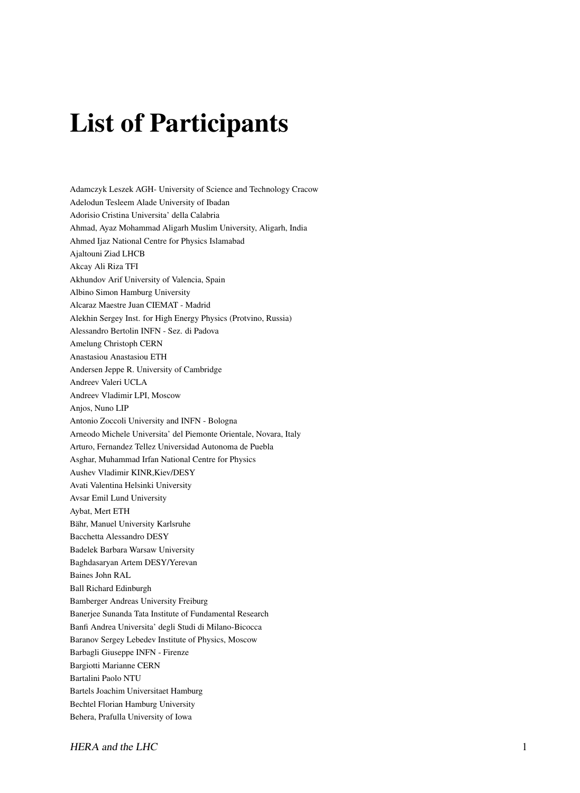## List of Participants

Adamczyk Leszek AGH- University of Science and Technology Cracow Adelodun Tesleem Alade University of Ibadan Adorisio Cristina Universita' della Calabria Ahmad, Ayaz Mohammad Aligarh Muslim University, Aligarh, India Ahmed Ijaz National Centre for Physics Islamabad Ajaltouni Ziad LHCB Akcay Ali Riza TFI Akhundov Arif University of Valencia, Spain Albino Simon Hamburg University Alcaraz Maestre Juan CIEMAT - Madrid Alekhin Sergey Inst. for High Energy Physics (Protvino, Russia) Alessandro Bertolin INFN - Sez. di Padova Amelung Christoph CERN Anastasiou Anastasiou ETH Andersen Jeppe R. University of Cambridge Andreev Valeri UCLA Andreev Vladimir LPI, Moscow Anjos, Nuno LIP Antonio Zoccoli University and INFN - Bologna Arneodo Michele Universita' del Piemonte Orientale, Novara, Italy Arturo, Fernandez Tellez Universidad Autonoma de Puebla Asghar, Muhammad Irfan National Centre for Physics Aushev Vladimir KINR,Kiev/DESY Avati Valentina Helsinki University Avsar Emil Lund University Aybat, Mert ETH Bähr, Manuel University Karlsruhe Bacchetta Alessandro DESY Badelek Barbara Warsaw University Baghdasaryan Artem DESY/Yerevan Baines John RAL Ball Richard Edinburgh Bamberger Andreas University Freiburg Banerjee Sunanda Tata Institute of Fundamental Research Banfi Andrea Universita' degli Studi di Milano-Bicocca Baranov Sergey Lebedev Institute of Physics, Moscow Barbagli Giuseppe INFN - Firenze Bargiotti Marianne CERN Bartalini Paolo NTU Bartels Joachim Universitaet Hamburg Bechtel Florian Hamburg University Behera, Prafulla University of Iowa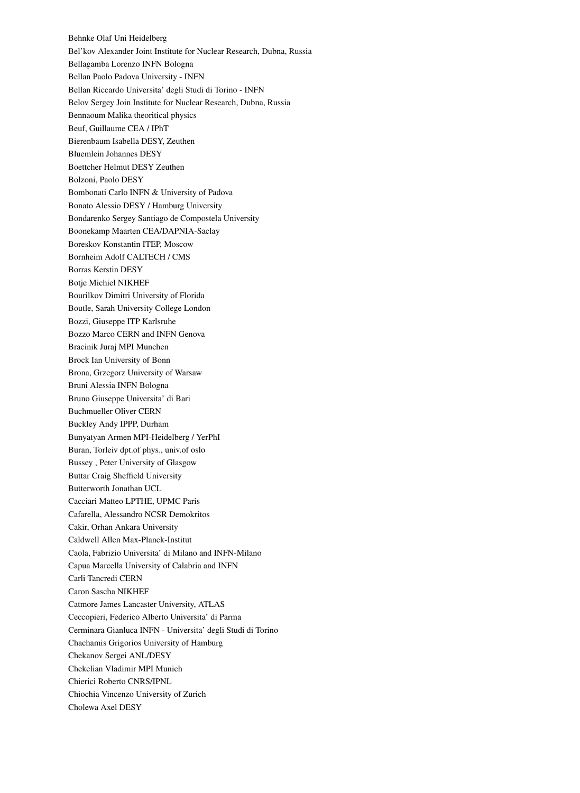Behnke Olaf Uni Heidelberg Bel'kov Alexander Joint Institute for Nuclear Research, Dubna, Russia Bellagamba Lorenzo INFN Bologna Bellan Paolo Padova University - INFN Bellan Riccardo Universita' degli Studi di Torino - INFN Belov Sergey Join Institute for Nuclear Research, Dubna, Russia Bennaoum Malika theoritical physics Beuf, Guillaume CEA / IPhT Bierenbaum Isabella DESY, Zeuthen Bluemlein Johannes DESY Boettcher Helmut DESY Zeuthen Bolzoni, Paolo DESY Bombonati Carlo INFN & University of Padova Bonato Alessio DESY / Hamburg University Bondarenko Sergey Santiago de Compostela University Boonekamp Maarten CEA/DAPNIA-Saclay Boreskov Konstantin ITEP, Moscow Bornheim Adolf CALTECH / CMS Borras Kerstin DESY Botje Michiel NIKHEF Bourilkov Dimitri University of Florida Boutle, Sarah University College London Bozzi, Giuseppe ITP Karlsruhe Bozzo Marco CERN and INFN Genova Bracinik Juraj MPI Munchen Brock Ian University of Bonn Brona, Grzegorz University of Warsaw Bruni Alessia INFN Bologna Bruno Giuseppe Universita' di Bari Buchmueller Oliver CERN Buckley Andy IPPP, Durham Bunyatyan Armen MPI-Heidelberg / YerPhI Buran, Torleiv dpt.of phys., univ.of oslo Bussey , Peter University of Glasgow Buttar Craig Sheffield University Butterworth Jonathan UCL Cacciari Matteo LPTHE, UPMC Paris Cafarella, Alessandro NCSR Demokritos Cakir, Orhan Ankara University Caldwell Allen Max-Planck-Institut Caola, Fabrizio Universita' di Milano and INFN-Milano Capua Marcella University of Calabria and INFN Carli Tancredi CERN Caron Sascha NIKHEF Catmore James Lancaster University, ATLAS Ceccopieri, Federico Alberto Universita' di Parma Cerminara Gianluca INFN - Universita' degli Studi di Torino Chachamis Grigorios University of Hamburg Chekanov Sergei ANL/DESY Chekelian Vladimir MPI Munich Chierici Roberto CNRS/IPNL Chiochia Vincenzo University of Zurich Cholewa Axel DESY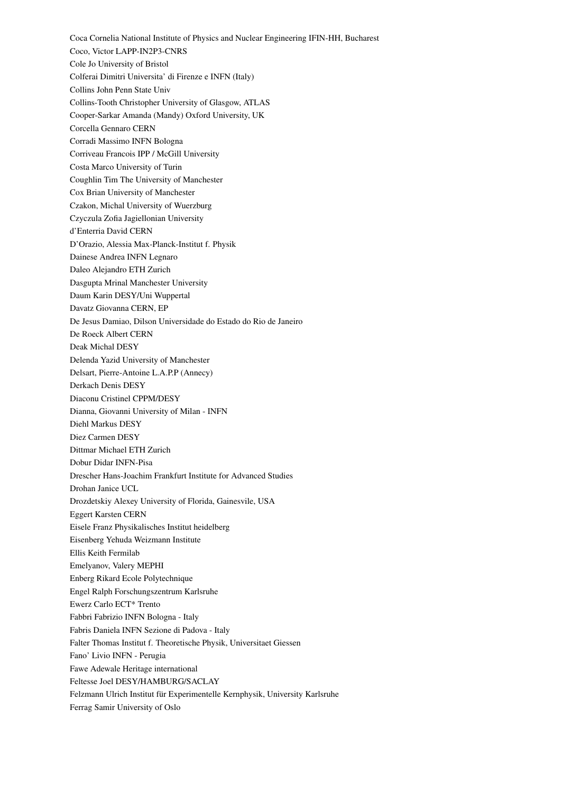Coca Cornelia National Institute of Physics and Nuclear Engineering IFIN-HH, Bucharest Coco, Victor LAPP-IN2P3-CNRS Cole Jo University of Bristol Colferai Dimitri Universita' di Firenze e INFN (Italy) Collins John Penn State Univ Collins-Tooth Christopher University of Glasgow, ATLAS Cooper-Sarkar Amanda (Mandy) Oxford University, UK Corcella Gennaro CERN Corradi Massimo INFN Bologna Corriveau Francois IPP / McGill University Costa Marco University of Turin Coughlin Tim The University of Manchester Cox Brian University of Manchester Czakon, Michal University of Wuerzburg Czyczula Zofia Jagiellonian University d'Enterria David CERN D'Orazio, Alessia Max-Planck-Institut f. Physik Dainese Andrea INFN Legnaro Daleo Alejandro ETH Zurich Dasgupta Mrinal Manchester University Daum Karin DESY/Uni Wuppertal Davatz Giovanna CERN, EP De Jesus Damiao, Dilson Universidade do Estado do Rio de Janeiro De Roeck Albert CERN Deak Michal DESY Delenda Yazid University of Manchester Delsart, Pierre-Antoine L.A.P.P (Annecy) Derkach Denis DESY Diaconu Cristinel CPPM/DESY Dianna, Giovanni University of Milan - INFN Diehl Markus DESY Diez Carmen DESY Dittmar Michael ETH Zurich Dobur Didar INFN-Pisa Drescher Hans-Joachim Frankfurt Institute for Advanced Studies Drohan Janice UCL Drozdetskiy Alexey University of Florida, Gainesvile, USA Eggert Karsten CERN Eisele Franz Physikalisches Institut heidelberg Eisenberg Yehuda Weizmann Institute Ellis Keith Fermilab Emelyanov, Valery MEPHI Enberg Rikard Ecole Polytechnique Engel Ralph Forschungszentrum Karlsruhe Ewerz Carlo ECT\* Trento Fabbri Fabrizio INFN Bologna - Italy Fabris Daniela INFN Sezione di Padova - Italy Falter Thomas Institut f. Theoretische Physik, Universitaet Giessen Fano' Livio INFN - Perugia Fawe Adewale Heritage international Feltesse Joel DESY/HAMBURG/SACLAY Felzmann Ulrich Institut für Experimentelle Kernphysik, University Karlsruhe Ferrag Samir University of Oslo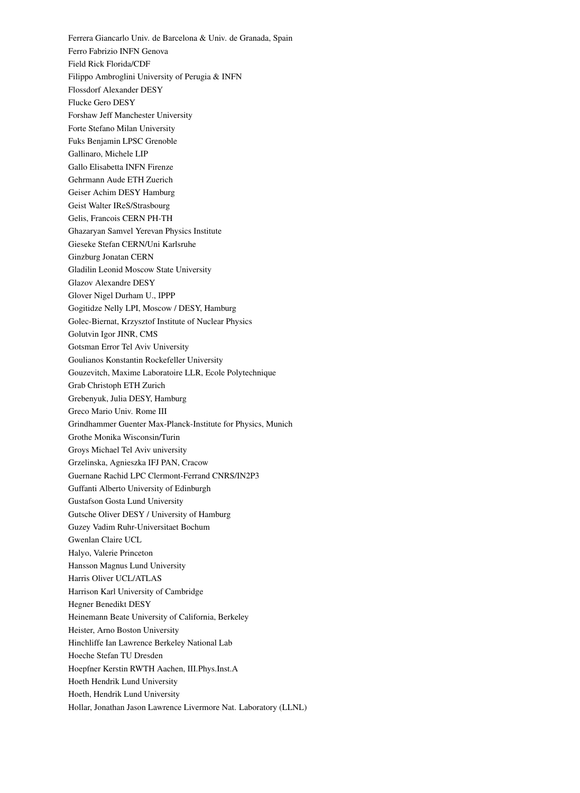Ferrera Giancarlo Univ. de Barcelona & Univ. de Granada, Spain Ferro Fabrizio INFN Genova Field Rick Florida/CDF Filippo Ambroglini University of Perugia & INFN Flossdorf Alexander DESY Flucke Gero DESY Forshaw Jeff Manchester University Forte Stefano Milan University Fuks Benjamin LPSC Grenoble Gallinaro, Michele LIP Gallo Elisabetta INFN Firenze Gehrmann Aude ETH Zuerich Geiser Achim DESY Hamburg Geist Walter IReS/Strasbourg Gelis, Francois CERN PH-TH Ghazaryan Samvel Yerevan Physics Institute Gieseke Stefan CERN/Uni Karlsruhe Ginzburg Jonatan CERN Gladilin Leonid Moscow State University Glazov Alexandre DESY Glover Nigel Durham U., IPPP Gogitidze Nelly LPI, Moscow / DESY, Hamburg Golec-Biernat, Krzysztof Institute of Nuclear Physics Golutvin Igor JINR, CMS Gotsman Error Tel Aviv University Goulianos Konstantin Rockefeller University Gouzevitch, Maxime Laboratoire LLR, Ecole Polytechnique Grab Christoph ETH Zurich Grebenyuk, Julia DESY, Hamburg Greco Mario Univ. Rome III Grindhammer Guenter Max-Planck-Institute for Physics, Munich Grothe Monika Wisconsin/Turin Groys Michael Tel Aviv university Grzelinska, Agnieszka IFJ PAN, Cracow Guernane Rachid LPC Clermont-Ferrand CNRS/IN2P3 Guffanti Alberto University of Edinburgh Gustafson Gosta Lund University Gutsche Oliver DESY / University of Hamburg Guzey Vadim Ruhr-Universitaet Bochum Gwenlan Claire UCL Halyo, Valerie Princeton Hansson Magnus Lund University Harris Oliver UCL/ATLAS Harrison Karl University of Cambridge Hegner Benedikt DESY Heinemann Beate University of California, Berkeley Heister, Arno Boston University Hinchliffe Ian Lawrence Berkeley National Lab Hoeche Stefan TU Dresden Hoepfner Kerstin RWTH Aachen, III.Phys.Inst.A Hoeth Hendrik Lund University Hoeth, Hendrik Lund University Hollar, Jonathan Jason Lawrence Livermore Nat. Laboratory (LLNL)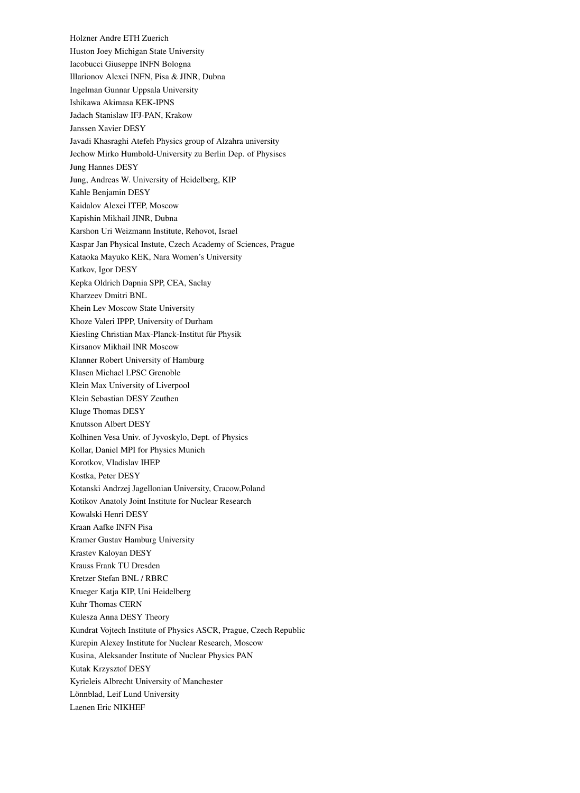Holzner Andre ETH Zuerich Huston Joey Michigan State University Iacobucci Giuseppe INFN Bologna Illarionov Alexei INFN, Pisa & JINR, Dubna Ingelman Gunnar Uppsala University Ishikawa Akimasa KEK-IPNS Jadach Stanislaw IFJ-PAN, Krakow Janssen Xavier DESY Javadi Khasraghi Atefeh Physics group of Alzahra university Jechow Mirko Humbold-University zu Berlin Dep. of Physiscs Jung Hannes DESY Jung, Andreas W. University of Heidelberg, KIP Kahle Benjamin DESY Kaidalov Alexei ITEP, Moscow Kapishin Mikhail JINR, Dubna Karshon Uri Weizmann Institute, Rehovot, Israel Kaspar Jan Physical Instute, Czech Academy of Sciences, Prague Kataoka Mayuko KEK, Nara Women's University Katkov, Igor DESY Kepka Oldrich Dapnia SPP, CEA, Saclay Kharzeev Dmitri BNL Khein Lev Moscow State University Khoze Valeri IPPP, University of Durham Kiesling Christian Max-Planck-Institut für Physik Kirsanov Mikhail INR Moscow Klanner Robert University of Hamburg Klasen Michael LPSC Grenoble Klein Max University of Liverpool Klein Sebastian DESY Zeuthen Kluge Thomas DESY Knutsson Albert DESY Kolhinen Vesa Univ. of Jyvoskylo, Dept. of Physics Kollar, Daniel MPI for Physics Munich Korotkov, Vladislav IHEP Kostka, Peter DESY Kotanski Andrzej Jagellonian University, Cracow,Poland Kotikov Anatoly Joint Institute for Nuclear Research Kowalski Henri DESY Kraan Aafke INFN Pisa Kramer Gustav Hamburg University Krastev Kaloyan DESY Krauss Frank TU Dresden Kretzer Stefan BNL / RBRC Krueger Katja KIP, Uni Heidelberg Kuhr Thomas CERN Kulesza Anna DESY Theory Kundrat Vojtech Institute of Physics ASCR, Prague, Czech Republic Kurepin Alexey Institute for Nuclear Research, Moscow Kusina, Aleksander Institute of Nuclear Physics PAN Kutak Krzysztof DESY Kyrieleis Albrecht University of Manchester Lönnblad, Leif Lund University Laenen Eric NIKHEF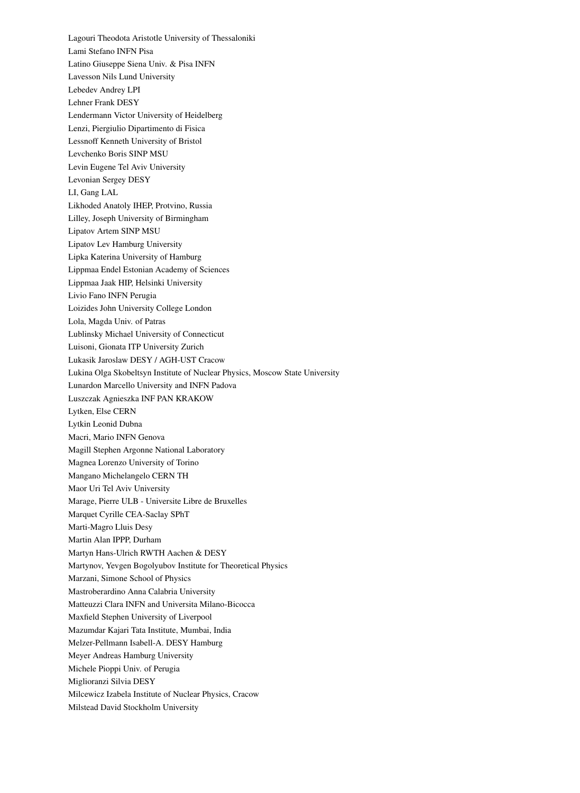Lagouri Theodota Aristotle University of Thessaloniki Lami Stefano INFN Pisa Latino Giuseppe Siena Univ. & Pisa INFN Lavesson Nils Lund University Lebedev Andrey LPI Lehner Frank DESY Lendermann Victor University of Heidelberg Lenzi, Piergiulio Dipartimento di Fisica Lessnoff Kenneth University of Bristol Levchenko Boris SINP MSU Levin Eugene Tel Aviv University Levonian Sergey DESY LI, Gang LAL Likhoded Anatoly IHEP, Protvino, Russia Lilley, Joseph University of Birmingham Lipatov Artem SINP MSU Lipatov Lev Hamburg University Lipka Katerina University of Hamburg Lippmaa Endel Estonian Academy of Sciences Lippmaa Jaak HIP, Helsinki University Livio Fano INFN Perugia Loizides John University College London Lola, Magda Univ. of Patras Lublinsky Michael University of Connecticut Luisoni, Gionata ITP University Zurich Lukasik Jaroslaw DESY / AGH-UST Cracow Lukina Olga Skobeltsyn Institute of Nuclear Physics, Moscow State University Lunardon Marcello University and INFN Padova Luszczak Agnieszka INF PAN KRAKOW Lytken, Else CERN Lytkin Leonid Dubna Macri, Mario INFN Genova Magill Stephen Argonne National Laboratory Magnea Lorenzo University of Torino Mangano Michelangelo CERN TH Maor Uri Tel Aviv University Marage, Pierre ULB - Universite Libre de Bruxelles Marquet Cyrille CEA-Saclay SPhT Marti-Magro Lluis Desy Martin Alan IPPP, Durham Martyn Hans-Ulrich RWTH Aachen & DESY Martynov, Yevgen Bogolyubov Institute for Theoretical Physics Marzani, Simone School of Physics Mastroberardino Anna Calabria University Matteuzzi Clara INFN and Universita Milano-Bicocca Maxfield Stephen University of Liverpool Mazumdar Kajari Tata Institute, Mumbai, India Melzer-Pellmann Isabell-A. DESY Hamburg Meyer Andreas Hamburg University Michele Pioppi Univ. of Perugia Miglioranzi Silvia DESY Milcewicz Izabela Institute of Nuclear Physics, Cracow Milstead David Stockholm University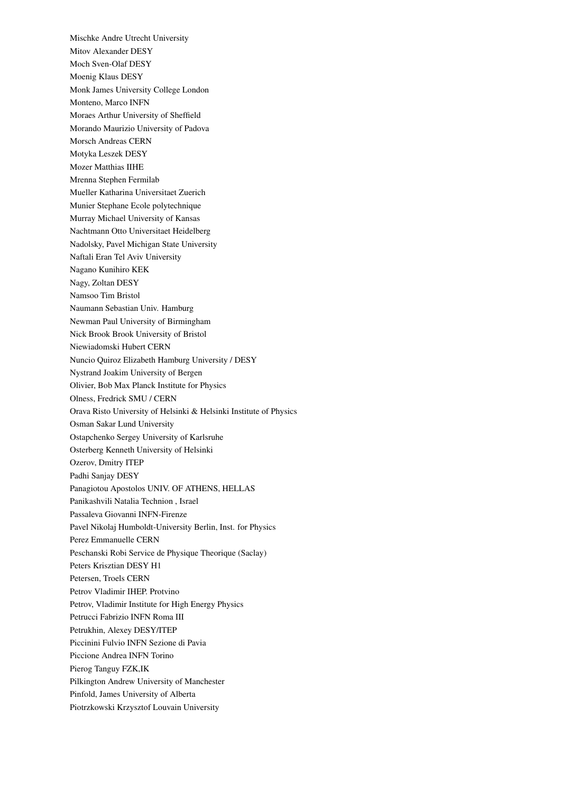Mischke Andre Utrecht University Mitov Alexander DESY Moch Sven-Olaf DESY Moenig Klaus DESY Monk James University College London Monteno, Marco INFN Moraes Arthur University of Sheffield Morando Maurizio University of Padova Morsch Andreas CERN Motyka Leszek DESY Mozer Matthias IIHE Mrenna Stephen Fermilab Mueller Katharina Universitaet Zuerich Munier Stephane Ecole polytechnique Murray Michael University of Kansas Nachtmann Otto Universitaet Heidelberg Nadolsky, Pavel Michigan State University Naftali Eran Tel Aviv University Nagano Kunihiro KEK Nagy, Zoltan DESY Namsoo Tim Bristol Naumann Sebastian Univ. Hamburg Newman Paul University of Birmingham Nick Brook Brook University of Bristol Niewiadomski Hubert CERN Nuncio Quiroz Elizabeth Hamburg University / DESY Nystrand Joakim University of Bergen Olivier, Bob Max Planck Institute for Physics Olness, Fredrick SMU / CERN Orava Risto University of Helsinki & Helsinki Institute of Physics Osman Sakar Lund University Ostapchenko Sergey University of Karlsruhe Osterberg Kenneth University of Helsinki Ozerov, Dmitry ITEP Padhi Sanjay DESY Panagiotou Apostolos UNIV. OF ATHENS, HELLAS Panikashvili Natalia Technion , Israel Passaleva Giovanni INFN-Firenze Pavel Nikolaj Humboldt-University Berlin, Inst. for Physics Perez Emmanuelle CERN Peschanski Robi Service de Physique Theorique (Saclay) Peters Krisztian DESY H1 Petersen, Troels CERN Petrov Vladimir IHEP. Protvino Petrov, Vladimir Institute for High Energy Physics Petrucci Fabrizio INFN Roma III Petrukhin, Alexey DESY/ITEP Piccinini Fulvio INFN Sezione di Pavia Piccione Andrea INFN Torino Pierog Tanguy FZK,IK Pilkington Andrew University of Manchester Pinfold, James University of Alberta Piotrzkowski Krzysztof Louvain University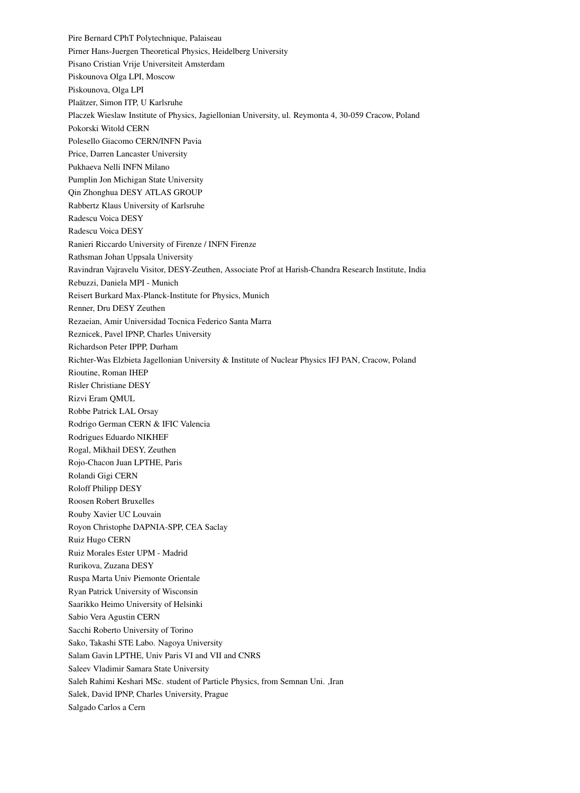Pire Bernard CPhT Polytechnique, Palaiseau Pirner Hans-Juergen Theoretical Physics, Heidelberg University Pisano Cristian Vrije Universiteit Amsterdam Piskounova Olga LPI, Moscow Piskounova, Olga LPI Plaätzer, Simon ITP, U Karlsruhe Placzek Wieslaw Institute of Physics, Jagiellonian University, ul. Reymonta 4, 30-059 Cracow, Poland Pokorski Witold CERN Polesello Giacomo CERN/INFN Pavia Price, Darren Lancaster University Pukhaeva Nelli INFN Milano Pumplin Jon Michigan State University Qin Zhonghua DESY ATLAS GROUP Rabbertz Klaus University of Karlsruhe Radescu Voica DESY Radescu Voica DESY Ranieri Riccardo University of Firenze / INFN Firenze Rathsman Johan Uppsala University Ravindran Vajravelu Visitor, DESY-Zeuthen, Associate Prof at Harish-Chandra Research Institute, India Rebuzzi, Daniela MPI - Munich Reisert Burkard Max-Planck-Institute for Physics, Munich Renner, Dru DESY Zeuthen Rezaeian, Amir Universidad Tocnica Federico Santa Marra Reznicek, Pavel IPNP, Charles University Richardson Peter IPPP, Durham Richter-Was Elzbieta Jagellonian University & Institute of Nuclear Physics IFJ PAN, Cracow, Poland Rioutine, Roman IHEP Risler Christiane DESY Rizvi Eram QMUL Robbe Patrick LAL Orsay Rodrigo German CERN & IFIC Valencia Rodrigues Eduardo NIKHEF Rogal, Mikhail DESY, Zeuthen Rojo-Chacon Juan LPTHE, Paris Rolandi Gigi CERN Roloff Philipp DESY Roosen Robert Bruxelles Rouby Xavier UC Louvain Royon Christophe DAPNIA-SPP, CEA Saclay Ruiz Hugo CERN Ruiz Morales Ester UPM - Madrid Rurikova, Zuzana DESY Ruspa Marta Univ Piemonte Orientale Ryan Patrick University of Wisconsin Saarikko Heimo University of Helsinki Sabio Vera Agustin CERN Sacchi Roberto University of Torino Sako, Takashi STE Labo. Nagoya University Salam Gavin LPTHE, Univ Paris VI and VII and CNRS Saleev Vladimir Samara State University Saleh Rahimi Keshari MSc. student of Particle Physics, from Semnan Uni. ,Iran Salek, David IPNP, Charles University, Prague Salgado Carlos a Cern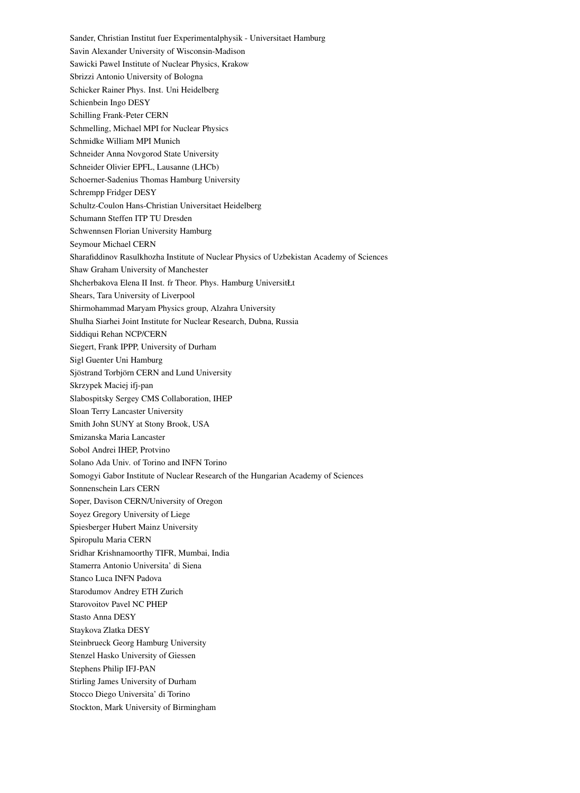Sander, Christian Institut fuer Experimentalphysik - Universitaet Hamburg Savin Alexander University of Wisconsin-Madison Sawicki Pawel Institute of Nuclear Physics, Krakow Sbrizzi Antonio University of Bologna Schicker Rainer Phys. Inst. Uni Heidelberg Schienbein Ingo DESY Schilling Frank-Peter CERN Schmelling, Michael MPI for Nuclear Physics Schmidke William MPI Munich Schneider Anna Novgorod State University Schneider Olivier EPFL, Lausanne (LHCb) Schoerner-Sadenius Thomas Hamburg University Schrempp Fridger DESY Schultz-Coulon Hans-Christian Universitaet Heidelberg Schumann Steffen ITP TU Dresden Schwennsen Florian University Hamburg Seymour Michael CERN Sharafiddinov Rasulkhozha Institute of Nuclear Physics of Uzbekistan Academy of Sciences Shaw Graham University of Manchester Shcherbakova Elena II Inst. fr Theor. Phys. Hamburg UniversitŁt Shears, Tara University of Liverpool Shirmohammad Maryam Physics group, Alzahra University Shulha Siarhei Joint Institute for Nuclear Research, Dubna, Russia Siddiqui Rehan NCP/CERN Siegert, Frank IPPP, University of Durham Sigl Guenter Uni Hamburg Sjöstrand Torbjörn CERN and Lund University Skrzypek Maciej ifj-pan Slabospitsky Sergey CMS Collaboration, IHEP Sloan Terry Lancaster University Smith John SUNY at Stony Brook, USA Smizanska Maria Lancaster Sobol Andrei IHEP, Protvino Solano Ada Univ. of Torino and INFN Torino Somogyi Gabor Institute of Nuclear Research of the Hungarian Academy of Sciences Sonnenschein Lars CERN Soper, Davison CERN/University of Oregon Soyez Gregory University of Liege Spiesberger Hubert Mainz University Spiropulu Maria CERN Sridhar Krishnamoorthy TIFR, Mumbai, India Stamerra Antonio Universita' di Siena Stanco Luca INFN Padova Starodumov Andrey ETH Zurich Starovoitov Pavel NC PHEP Stasto Anna DESY Staykova Zlatka DESY Steinbrueck Georg Hamburg University Stenzel Hasko University of Giessen Stephens Philip IFJ-PAN Stirling James University of Durham Stocco Diego Universita' di Torino Stockton, Mark University of Birmingham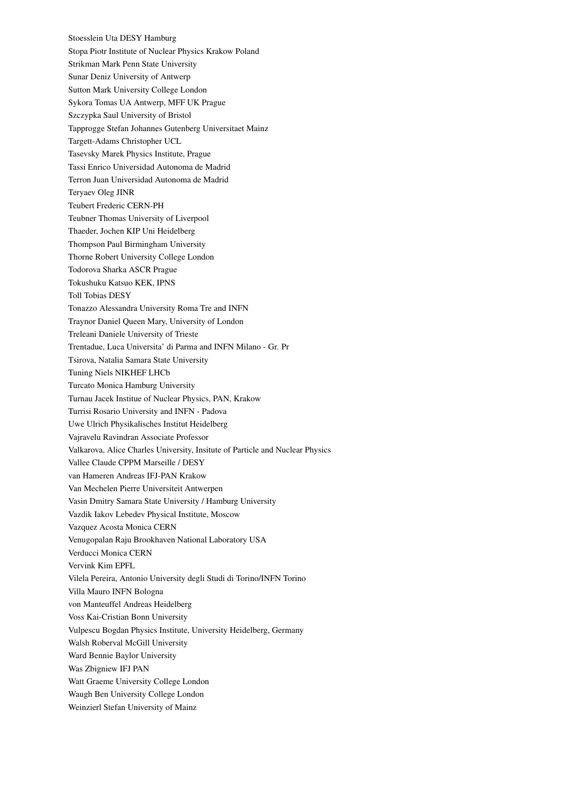Stoesslein Uta DESY Hamburg Stopa Piotr Institute of Nuclear Physics Krakow Poland Strikman Mark Penn State University Sunar Deniz University of Antwerp Sutton Mark University College London Sykora Tomas UA Antwerp, MFF UK Prague Szczypka Saul University of Bristol Tapprogge Stefan Johannes Gutenberg Universitaet Mainz Targett-Adams Christopher UCL Tasevsky Marek Physics Institute, Prague Tassi Enrico Universidad Autonoma de Madrid Terron Juan Universidad Autonoma de Madrid Teryaev Oleg JINR Teubert Frederic CERN-PH Teubner Thomas University of Liverpool Thaeder, Jochen KIP Uni Heidelberg Thompson Paul Birmingham University Thorne Robert University College London Todorova Sharka ASCR Prague Tokushuku Katsuo KEK, IPNS Toll Tobias DESY Tonazzo Alessandra University Roma Tre and INFN Traynor Daniel Queen Mary, University of London Treleani Daniele University of Trieste Trentadue, Luca Universita' di Parma and INFN Milano - Gr. Pr Tsirova, Natalia Samara State University Tuning Niels NIKHEF LHCb Turcato Monica Hamburg University Turnau Jacek Institue of Nuclear Physics, PAN, Krakow Turrisi Rosario University and INFN - Padova Uwe Ulrich Physikalisches Institut Heidelberg Vajravelu Ravindran Associate Professor Valkarova, Alice Charles University, Insitute of Particle and Nuclear Physics Vallee Claude CPPM Marseille / DESY van Hameren Andreas IFJ-PAN Krakow Van Mechelen Pierre Universiteit Antwerpen Vasin Dmitry Samara State University / Hamburg University Vazdik Iakov Lebedev Physical Institute, Moscow Vazquez Acosta Monica CERN Venugopalan Raju Brookhaven National Laboratory USA Verducci Monica CERN Vervink Kim EPFL Vilela Pereira, Antonio University degli Studi di Torino/INFN Torino Villa Mauro INFN Bologna von Manteuffel Andreas Heidelberg Voss Kai-Cristian Bonn University Vulpescu Bogdan Physics Institute, University Heidelberg, Germany Walsh Roberval McGill University Ward Bennie Baylor University Was Zbigniew IFJ PAN Watt Graeme University College London Waugh Ben University College London Weinzierl Stefan University of Mainz